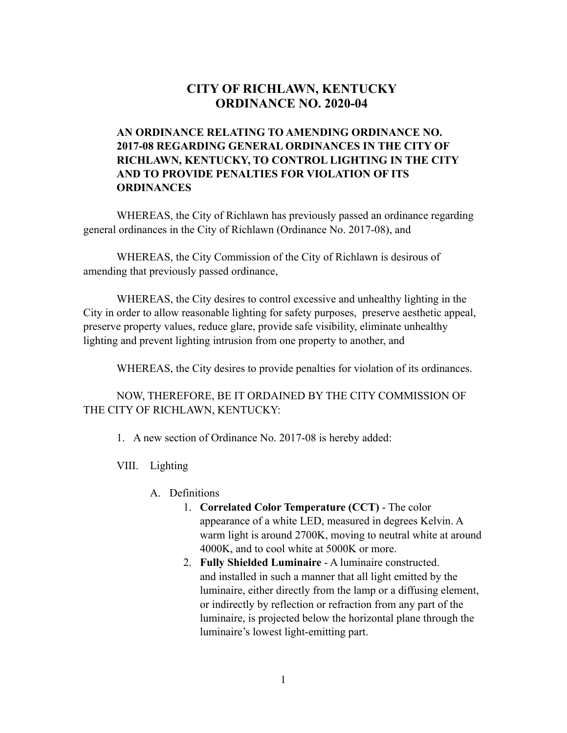## **CITY OF RICHLAWN, KENTUCKY ORDINANCE NO. 2020-04**

## **AN ORDINANCE RELATING TO AMENDING ORDINANCE NO. 2017-08 REGARDING GENERAL ORDINANCES IN THE CITY OF RICHLAWN, KENTUCKY, TO CONTROL LIGHTING IN THE CITY AND TO PROVIDE PENALTIES FOR VIOLATION OF ITS ORDINANCES**

WHEREAS, the City of Richlawn has previously passed an ordinance regarding general ordinances in the City of Richlawn (Ordinance No. 2017-08), and

WHEREAS, the City Commission of the City of Richlawn is desirous of amending that previously passed ordinance,

WHEREAS, the City desires to control excessive and unhealthy lighting in the City in order to allow reasonable lighting for safety purposes, preserve aesthetic appeal, preserve property values, reduce glare, provide safe visibility, eliminate unhealthy lighting and prevent lighting intrusion from one property to another, and

WHEREAS, the City desires to provide penalties for violation of its ordinances.

NOW, THEREFORE, BE IT ORDAINED BY THE CITY COMMISSION OF THE CITY OF RICHLAWN, KENTUCKY:

- 1. A new section of Ordinance No. 2017-08 is hereby added:
- VIII. Lighting
	- A. Definitions
		- 1. **Correlated Color Temperature (CCT)** The color appearance of a white LED, measured in degrees Kelvin. A warm light is around 2700K, moving to neutral white at around 4000K, and to cool white at 5000K or more.
		- 2. **Fully Shielded Luminaire** A luminaire constructed. and installed in such a manner that all light emitted by the luminaire, either directly from the lamp or a diffusing element, or indirectly by reflection or refraction from any part of the luminaire, is projected below the horizontal plane through the luminaire's lowest light-emitting part.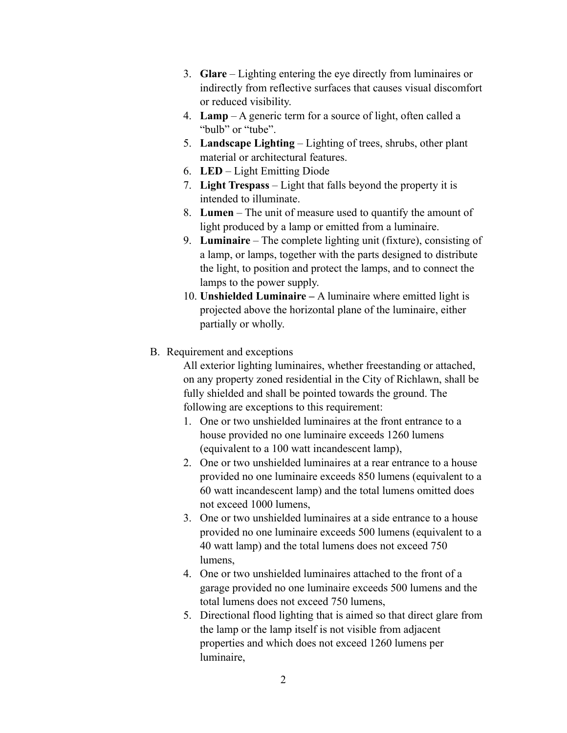- 3. **Glare**  Lighting entering the eye directly from luminaires or indirectly from reflective surfaces that causes visual discomfort or reduced visibility.
- 4. **Lamp**  A generic term for a source of light, often called a "bulb" or "tube".
- 5. **Landscape Lighting**  Lighting of trees, shrubs, other plant material or architectural features.
- 6. **LED**  Light Emitting Diode
- 7. **Light Trespass**  Light that falls beyond the property it is intended to illuminate.
- 8. **Lumen**  The unit of measure used to quantify the amount of light produced by a lamp or emitted from a luminaire.
- 9. **Luminaire**  The complete lighting unit (fixture), consisting of a lamp, or lamps, together with the parts designed to distribute the light, to position and protect the lamps, and to connect the lamps to the power supply.
- 10. **Unshielded Luminaire** A luminaire where emitted light is projected above the horizontal plane of the luminaire, either partially or wholly.
- B. Requirement and exceptions

All exterior lighting luminaires, whether freestanding or attached, on any property zoned residential in the City of Richlawn, shall be fully shielded and shall be pointed towards the ground. The following are exceptions to this requirement:

- 1. One or two unshielded luminaires at the front entrance to a house provided no one luminaire exceeds 1260 lumens (equivalent to a 100 watt incandescent lamp),
- 2. One or two unshielded luminaires at a rear entrance to a house provided no one luminaire exceeds 850 lumens (equivalent to a 60 watt incandescent lamp) and the total lumens omitted does not exceed 1000 lumens,
- 3. One or two unshielded luminaires at a side entrance to a house provided no one luminaire exceeds 500 lumens (equivalent to a 40 watt lamp) and the total lumens does not exceed 750 lumens,
- 4. One or two unshielded luminaires attached to the front of a garage provided no one luminaire exceeds 500 lumens and the total lumens does not exceed 750 lumens,
- 5. Directional flood lighting that is aimed so that direct glare from the lamp or the lamp itself is not visible from adjacent properties and which does not exceed 1260 lumens per luminaire,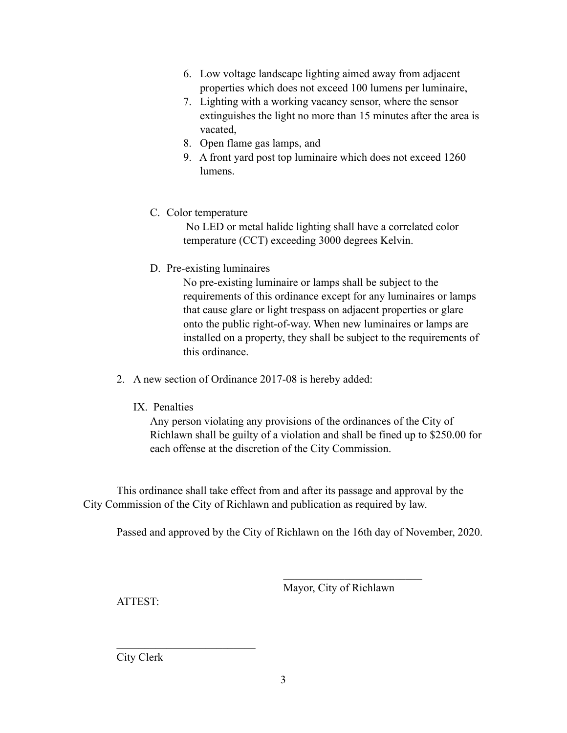- 6. Low voltage landscape lighting aimed away from adjacent properties which does not exceed 100 lumens per luminaire,
- 7. Lighting with a working vacancy sensor, where the sensor extinguishes the light no more than 15 minutes after the area is vacated,
- 8. Open flame gas lamps, and
- 9. A front yard post top luminaire which does not exceed 1260 lumens.
- C. Color temperature

No LED or metal halide lighting shall have a correlated color temperature (CCT) exceeding 3000 degrees Kelvin.

D. Pre-existing luminaires

No pre-existing luminaire or lamps shall be subject to the requirements of this ordinance except for any luminaires or lamps that cause glare or light trespass on adjacent properties or glare onto the public right-of-way. When new luminaires or lamps are installed on a property, they shall be subject to the requirements of this ordinance.

- 2. A new section of Ordinance 2017-08 is hereby added:
	- IX. Penalties

 Any person violating any provisions of the ordinances of the City of Richlawn shall be guilty of a violation and shall be fined up to \$250.00 for each offense at the discretion of the City Commission.

 This ordinance shall take effect from and after its passage and approval by the City Commission of the City of Richlawn and publication as required by law.

 $\mathcal{L}_\text{max}$  and  $\mathcal{L}_\text{max}$  and  $\mathcal{L}_\text{max}$  and  $\mathcal{L}_\text{max}$ 

Passed and approved by the City of Richlawn on the 16th day of November, 2020.

Mayor, City of Richlawn

ATTEST:

City Clerk

 $\mathcal{L}_\text{max}$